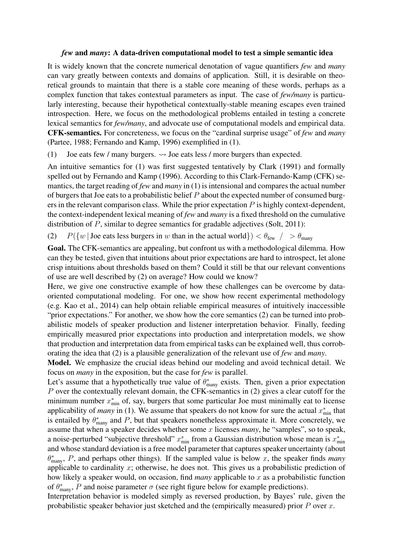## *few* and *many*: A data-driven computational model to test a simple semantic idea

It is widely known that the concrete numerical denotation of vague quantifiers *few* and *many* can vary greatly between contexts and domains of application. Still, it is desirable on theoretical grounds to maintain that there is a stable core meaning of these words, perhaps as a complex function that takes contextual parameters as input. The case of *few/many* is particularly interesting, because their hypothetical contextually-stable meaning escapes even trained introspection. Here, we focus on the methodological problems entailed in testing a concrete lexical semantics for *few/many*, and advocate use of computational models and empirical data. CFK-semantics. For concreteness, we focus on the "cardinal surprise usage" of *few* and *many* (Partee, 1988; Fernando and Kamp, 1996) exemplified in (1).

(1) Joe eats few / many burgers.  $\rightsquigarrow$  Joe eats less / more burgers than expected.

An intuitive semantics for (1) was first suggested tentatively by Clark (1991) and formally spelled out by Fernando and Kamp (1996). According to this Clark-Fernando-Kamp (CFK) semantics, the target reading of *few* and *many* in (1) is intensional and compares the actual number of burgers that Joe eats to a probabilistic belief *P* about the expected number of consumed burgers in the relevant comparison class. While the prior expectation *P* is highly context-dependent, the context-independent lexical meaning of *few* and *many* is a fixed threshold on the cumulative distribution of *P*, similar to degree semantics for gradable adjectives (Solt, 2011):

(2)  $P({w | \textit{Joe} \textit{ eats} \textit{less} \textit{burgers} \textit{in } w \textit{ than} \textit{in} \textit{the actual} \textit{world}}) < \theta_{\textit{few}} / > \theta_{\textit{many}}$ 

Goal. The CFK-semantics are appealing, but confront us with a methodological dilemma. How can they be tested, given that intuitions about prior expectations are hard to introspect, let alone crisp intuitions about thresholds based on them? Could it still be that our relevant conventions of use are well described by (2) on average? How could we know?

Here, we give one constructive example of how these challenges can be overcome by dataoriented computational modeling. For one, we show how recent experimental methodology (e.g. Kao et al., 2014) can help obtain reliable empirical measures of intuitively inaccessible "prior expectations." For another, we show how the core semantics (2) can be turned into probabilistic models of speaker production and listener interpretation behavior. Finally, feeding empirically measured prior expectations into production and interpretation models, we show that production and interpretation data from empirical tasks can be explained well, thus corroborating the idea that (2) is a plausible generalization of the relevant use of *few* and *many*.

Model. We emphasize the crucial ideas behind our modeling and avoid technical detail. We focus on *many* in the exposition, but the case for *few* is parallel.

Let's assume that a hypothetically true value of  $\theta_{\text{many}}^*$  exists. Then, given a prior expectation *P* over the contextually relevant domain, the CFK-semantics in (2) gives a clear cutoff for the minimum number  $x_{\min}^*$  of, say, burgers that some particular Joe must minimally eat to license applicability of *many* in (1). We assume that speakers do not know for sure the actual  $x_{\min}^*$  that is entailed by  $\theta_{\text{many}}^*$  and *P*, but that speakers nonetheless approximate it. More concretely, we assume that when a speaker decides whether some *x* licenses *many*, he "samples", so to speak, a noise-perturbed "subjective threshold"  $x_{\min}^s$  from a Gaussian distribution whose mean is  $x_{\min}^*$ and whose standard deviation is a free model parameter that captures speaker uncertainty (about *θ* ∗ many, *P*, and perhaps other things). If the sampled value is below *x*, the speaker finds *many* applicable to cardinality *x*; otherwise, he does not. This gives us a probabilistic prediction of how likely a speaker would, on occasion, find *many* applicable to *x* as a probabilistic function of  $\theta_{\text{many}}^*$ , *P* and noise parameter  $\sigma$  (see right figure below for example predictions).

Interpretation behavior is modeled simply as reversed production, by Bayes' rule, given the probabilistic speaker behavior just sketched and the (empirically measured) prior *P* over *x*.